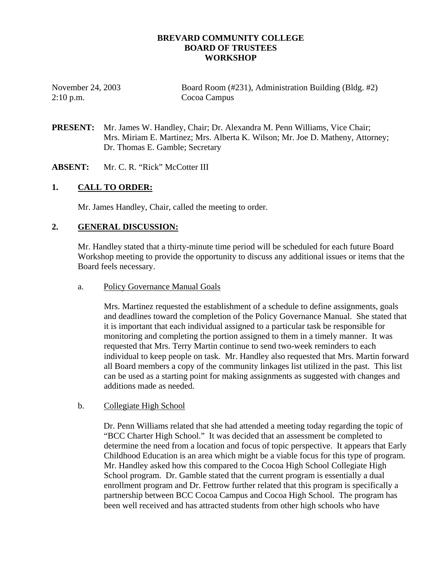### **BREVARD COMMUNITY COLLEGE BOARD OF TRUSTEES WORKSHOP**

| November 24, 2003 | Board Room (#231), Administration Building (Bldg. #2) |
|-------------------|-------------------------------------------------------|
| $2:10$ p.m.       | Cocoa Campus                                          |

**PRESENT:** Mr. James W. Handley, Chair; Dr. Alexandra M. Penn Williams, Vice Chair; Mrs. Miriam E. Martinez; Mrs. Alberta K. Wilson; Mr. Joe D. Matheny, Attorney; Dr. Thomas E. Gamble; Secretary

#### **ABSENT:** Mr. C. R. "Rick" McCotter III

### **1. CALL TO ORDER:**

Mr. James Handley, Chair, called the meeting to order.

### **2. GENERAL DISCUSSION:**

Mr. Handley stated that a thirty-minute time period will be scheduled for each future Board Workshop meeting to provide the opportunity to discuss any additional issues or items that the Board feels necessary.

#### a. Policy Governance Manual Goals

Mrs. Martinez requested the establishment of a schedule to define assignments, goals and deadlines toward the completion of the Policy Governance Manual. She stated that it is important that each individual assigned to a particular task be responsible for monitoring and completing the portion assigned to them in a timely manner. It was requested that Mrs. Terry Martin continue to send two-week reminders to each individual to keep people on task. Mr. Handley also requested that Mrs. Martin forward all Board members a copy of the community linkages list utilized in the past. This list can be used as a starting point for making assignments as suggested with changes and additions made as needed.

#### b. Collegiate High School

Dr. Penn Williams related that she had attended a meeting today regarding the topic of "BCC Charter High School." It was decided that an assessment be completed to determine the need from a location and focus of topic perspective. It appears that Early Childhood Education is an area which might be a viable focus for this type of program. Mr. Handley asked how this compared to the Cocoa High School Collegiate High School program. Dr. Gamble stated that the current program is essentially a dual enrollment program and Dr. Fettrow further related that this program is specifically a partnership between BCC Cocoa Campus and Cocoa High School. The program has been well received and has attracted students from other high schools who have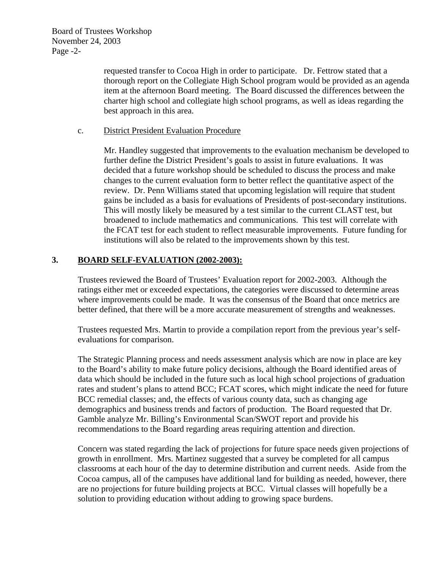Board of Trustees Workshop November 24, 2003 Page -2-

> requested transfer to Cocoa High in order to participate. Dr. Fettrow stated that a thorough report on the Collegiate High School program would be provided as an agenda item at the afternoon Board meeting. The Board discussed the differences between the charter high school and collegiate high school programs, as well as ideas regarding the best approach in this area.

### c. District President Evaluation Procedure

 Mr. Handley suggested that improvements to the evaluation mechanism be developed to further define the District President's goals to assist in future evaluations. It was decided that a future workshop should be scheduled to discuss the process and make changes to the current evaluation form to better reflect the quantitative aspect of the review. Dr. Penn Williams stated that upcoming legislation will require that student gains be included as a basis for evaluations of Presidents of post-secondary institutions. This will mostly likely be measured by a test similar to the current CLAST test, but broadened to include mathematics and communications. This test will correlate with the FCAT test for each student to reflect measurable improvements. Future funding for institutions will also be related to the improvements shown by this test.

## **3. BOARD SELF-EVALUATION (2002-2003):**

Trustees reviewed the Board of Trustees' Evaluation report for 2002-2003. Although the ratings either met or exceeded expectations, the categories were discussed to determine areas where improvements could be made. It was the consensus of the Board that once metrics are better defined, that there will be a more accurate measurement of strengths and weaknesses.

Trustees requested Mrs. Martin to provide a compilation report from the previous year's selfevaluations for comparison.

The Strategic Planning process and needs assessment analysis which are now in place are key to the Board's ability to make future policy decisions, although the Board identified areas of data which should be included in the future such as local high school projections of graduation rates and student's plans to attend BCC; FCAT scores, which might indicate the need for future BCC remedial classes; and, the effects of various county data, such as changing age demographics and business trends and factors of production. The Board requested that Dr. Gamble analyze Mr. Billing's Environmental Scan/SWOT report and provide his recommendations to the Board regarding areas requiring attention and direction.

Concern was stated regarding the lack of projections for future space needs given projections of growth in enrollment. Mrs. Martinez suggested that a survey be completed for all campus classrooms at each hour of the day to determine distribution and current needs. Aside from the Cocoa campus, all of the campuses have additional land for building as needed, however, there are no projections for future building projects at BCC. Virtual classes will hopefully be a solution to providing education without adding to growing space burdens.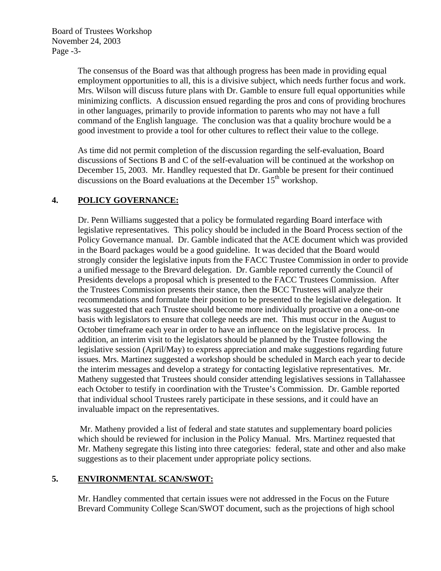Board of Trustees Workshop November 24, 2003 Page -3-

> The consensus of the Board was that although progress has been made in providing equal employment opportunities to all, this is a divisive subject, which needs further focus and work. Mrs. Wilson will discuss future plans with Dr. Gamble to ensure full equal opportunities while minimizing conflicts. A discussion ensued regarding the pros and cons of providing brochures in other languages, primarily to provide information to parents who may not have a full command of the English language. The conclusion was that a quality brochure would be a good investment to provide a tool for other cultures to reflect their value to the college.

As time did not permit completion of the discussion regarding the self-evaluation, Board discussions of Sections B and C of the self-evaluation will be continued at the workshop on December 15, 2003. Mr. Handley requested that Dr. Gamble be present for their continued discussions on the Board evaluations at the December  $15<sup>th</sup>$  workshop.

## **4. POLICY GOVERNANCE:**

Dr. Penn Williams suggested that a policy be formulated regarding Board interface with legislative representatives. This policy should be included in the Board Process section of the Policy Governance manual. Dr. Gamble indicated that the ACE document which was provided in the Board packages would be a good guideline. It was decided that the Board would strongly consider the legislative inputs from the FACC Trustee Commission in order to provide a unified message to the Brevard delegation. Dr. Gamble reported currently the Council of Presidents develops a proposal which is presented to the FACC Trustees Commission. After the Trustees Commission presents their stance, then the BCC Trustees will analyze their recommendations and formulate their position to be presented to the legislative delegation. It was suggested that each Trustee should become more individually proactive on a one-on-one basis with legislators to ensure that college needs are met. This must occur in the August to October timeframe each year in order to have an influence on the legislative process. In addition, an interim visit to the legislators should be planned by the Trustee following the legislative session (April/May) to express appreciation and make suggestions regarding future issues. Mrs. Martinez suggested a workshop should be scheduled in March each year to decide the interim messages and develop a strategy for contacting legislative representatives. Mr. Matheny suggested that Trustees should consider attending legislatives sessions in Tallahassee each October to testify in coordination with the Trustee's Commission. Dr. Gamble reported that individual school Trustees rarely participate in these sessions, and it could have an invaluable impact on the representatives.

 Mr. Matheny provided a list of federal and state statutes and supplementary board policies which should be reviewed for inclusion in the Policy Manual. Mrs. Martinez requested that Mr. Matheny segregate this listing into three categories: federal, state and other and also make suggestions as to their placement under appropriate policy sections.

## **5. ENVIRONMENTAL SCAN/SWOT:**

Mr. Handley commented that certain issues were not addressed in the Focus on the Future Brevard Community College Scan/SWOT document, such as the projections of high school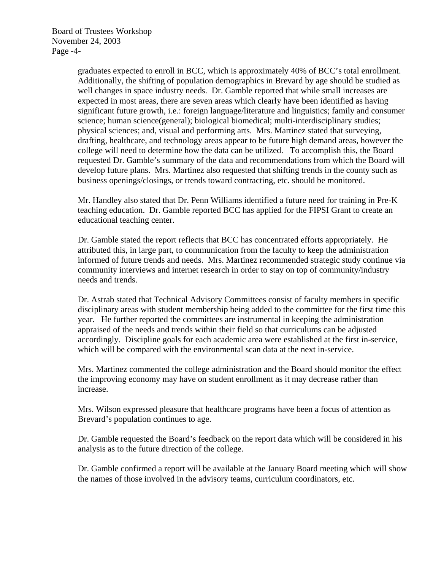Board of Trustees Workshop November 24, 2003 Page -4-

> graduates expected to enroll in BCC, which is approximately 40% of BCC's total enrollment. Additionally, the shifting of population demographics in Brevard by age should be studied as well changes in space industry needs. Dr. Gamble reported that while small increases are expected in most areas, there are seven areas which clearly have been identified as having significant future growth, i.e.: foreign language/literature and linguistics; family and consumer science; human science(general); biological biomedical; multi-interdisciplinary studies; physical sciences; and, visual and performing arts. Mrs. Martinez stated that surveying, drafting, healthcare, and technology areas appear to be future high demand areas, however the college will need to determine how the data can be utilized. To accomplish this, the Board requested Dr. Gamble's summary of the data and recommendations from which the Board will develop future plans. Mrs. Martinez also requested that shifting trends in the county such as business openings/closings, or trends toward contracting, etc. should be monitored.

 Mr. Handley also stated that Dr. Penn Williams identified a future need for training in Pre-K teaching education. Dr. Gamble reported BCC has applied for the FIPSI Grant to create an educational teaching center.

Dr. Gamble stated the report reflects that BCC has concentrated efforts appropriately. He attributed this, in large part, to communication from the faculty to keep the administration informed of future trends and needs. Mrs. Martinez recommended strategic study continue via community interviews and internet research in order to stay on top of community/industry needs and trends.

Dr. Astrab stated that Technical Advisory Committees consist of faculty members in specific disciplinary areas with student membership being added to the committee for the first time this year. He further reported the committees are instrumental in keeping the administration appraised of the needs and trends within their field so that curriculums can be adjusted accordingly. Discipline goals for each academic area were established at the first in-service, which will be compared with the environmental scan data at the next in-service.

 Mrs. Martinez commented the college administration and the Board should monitor the effect the improving economy may have on student enrollment as it may decrease rather than increase.

Mrs. Wilson expressed pleasure that healthcare programs have been a focus of attention as Brevard's population continues to age.

 Dr. Gamble requested the Board's feedback on the report data which will be considered in his analysis as to the future direction of the college.

 Dr. Gamble confirmed a report will be available at the January Board meeting which will show the names of those involved in the advisory teams, curriculum coordinators, etc.